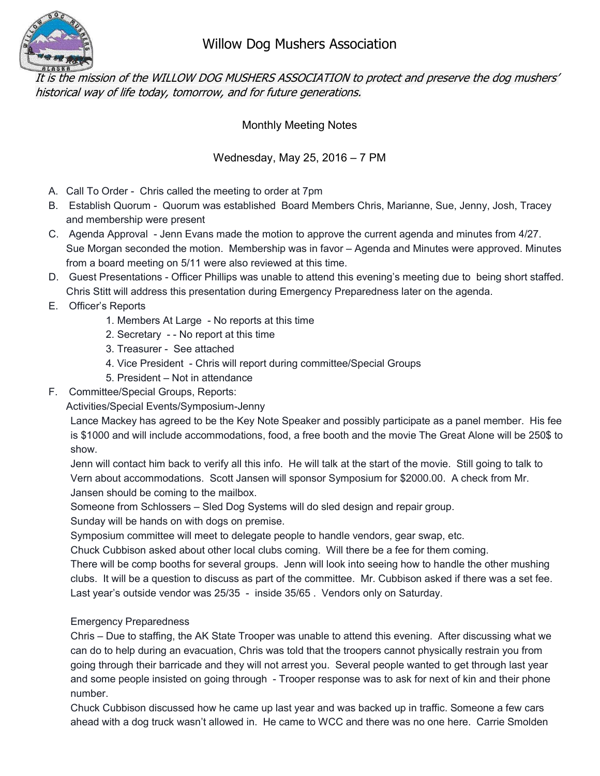

## Willow Dog Mushers Association

It is the mission of the WILLOW DOG MUSHERS ASSOCIATION to protect and preserve the dog mushers' historical way of life today, tomorrow, and for future generations.

Monthly Meeting Notes

## Wednesday, May 25, 2016 – 7 PM

- A. Call To Order Chris called the meeting to order at 7pm
- B. Establish Quorum Quorum was established Board Members Chris, Marianne, Sue, Jenny, Josh, Tracey and membership were present
- C. Agenda Approval Jenn Evans made the motion to approve the current agenda and minutes from 4/27. Sue Morgan seconded the motion. Membership was in favor – Agenda and Minutes were approved. Minutes from a board meeting on 5/11 were also reviewed at this time.
- D. Guest Presentations Officer Phillips was unable to attend this evening's meeting due to being short staffed. Chris Stitt will address this presentation during Emergency Preparedness later on the agenda.
- E. Officer's Reports
	- 1. Members At Large No reports at this time
	- 2. Secretary - No report at this time
	- 3. Treasurer See attached
	- 4. Vice President Chris will report during committee/Special Groups
	- 5. President Not in attendance
- F. Committee/Special Groups, Reports:

Activities/Special Events/Symposium-Jenny

Lance Mackey has agreed to be the Key Note Speaker and possibly participate as a panel member. His fee is \$1000 and will include accommodations, food, a free booth and the movie The Great Alone will be 250\$ to show.

Jenn will contact him back to verify all this info. He will talk at the start of the movie. Still going to talk to Vern about accommodations. Scott Jansen will sponsor Symposium for \$2000.00. A check from Mr. Jansen should be coming to the mailbox.

Someone from Schlossers – Sled Dog Systems will do sled design and repair group.

Sunday will be hands on with dogs on premise.

Symposium committee will meet to delegate people to handle vendors, gear swap, etc.

Chuck Cubbison asked about other local clubs coming. Will there be a fee for them coming.

There will be comp booths for several groups. Jenn will look into seeing how to handle the other mushing clubs. It will be a question to discuss as part of the committee. Mr. Cubbison asked if there was a set fee. Last year's outside vendor was 25/35 - inside 35/65 . Vendors only on Saturday.

## Emergency Preparedness

Chris – Due to staffing, the AK State Trooper was unable to attend this evening. After discussing what we can do to help during an evacuation, Chris was told that the troopers cannot physically restrain you from going through their barricade and they will not arrest you. Several people wanted to get through last year and some people insisted on going through - Trooper response was to ask for next of kin and their phone number.

Chuck Cubbison discussed how he came up last year and was backed up in traffic. Someone a few cars ahead with a dog truck wasn't allowed in. He came to WCC and there was no one here. Carrie Smolden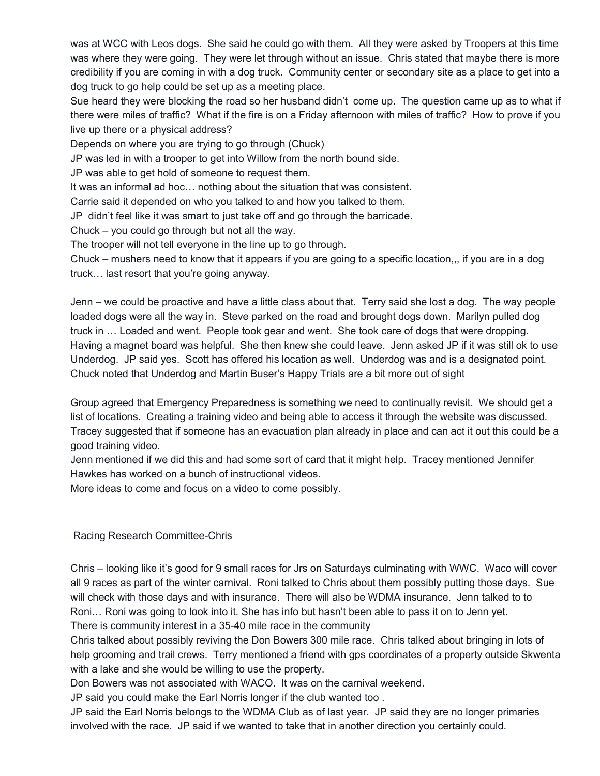was at WCC with Leos dogs. She said he could go with them. All they were asked by Troopers at this time was where they were going. They were let through without an issue. Chris stated that maybe there is more credibility if you are coming in with a dog truck. Community center or secondary site as a place to get into a dog truck to go help could be set up as a meeting place.

Sue heard they were blocking the road so her husband didn't come up. The question came up as to what if there were miles of traffic? What if the fire is on a Friday afternoon with miles of traffic? How to prove if you live up there or a physical address?

Depends on where you are trying to go through (Chuck)

JP was led in with a trooper to get into Willow from the north bound side.

JP was able to get hold of someone to request them.

It was an informal ad hoc… nothing about the situation that was consistent.

Carrie said it depended on who you talked to and how you talked to them.

JP didn't feel like it was smart to just take off and go through the barricade.

Chuck – you could go through but not all the way.

The trooper will not tell everyone in the line up to go through.

Chuck – mushers need to know that it appears if you are going to a specific location,,, if you are in a dog truck… last resort that you're going anyway.

Jenn – we could be proactive and have a little class about that. Terry said she lost a dog. The way people loaded dogs were all the way in. Steve parked on the road and brought dogs down. Marilyn pulled dog truck in … Loaded and went. People took gear and went. She took care of dogs that were dropping. Having a magnet board was helpful. She then knew she could leave. Jenn asked JP if it was still ok to use Underdog. JP said yes. Scott has offered his location as well. Underdog was and is a designated point. Chuck noted that Underdog and Martin Buser's Happy Trials are a bit more out of sight

Group agreed that Emergency Preparedness is something we need to continually revisit. We should get a list of locations. Creating a training video and being able to access it through the website was discussed. Tracey suggested that if someone has an evacuation plan already in place and can act it out this could be a good training video.

Jenn mentioned if we did this and had some sort of card that it might help. Tracey mentioned Jennifer Hawkes has worked on a bunch of instructional videos.

More ideas to come and focus on a video to come possibly.

Racing Research Committee-Chris

Chris – looking like it's good for 9 small races for Jrs on Saturdays culminating with WWC. Waco will cover all 9 races as part of the winter carnival. Roni talked to Chris about them possibly putting those days. Sue will check with those days and with insurance. There will also be WDMA insurance. Jenn talked to to Roni… Roni was going to look into it. She has info but hasn't been able to pass it on to Jenn yet. There is community interest in a 35-40 mile race in the community

Chris talked about possibly reviving the Don Bowers 300 mile race. Chris talked about bringing in lots of help grooming and trail crews. Terry mentioned a friend with gps coordinates of a property outside Skwenta with a lake and she would be willing to use the property.

Don Bowers was not associated with WACO. It was on the carnival weekend.

JP said you could make the Earl Norris longer if the club wanted too .

JP said the Earl Norris belongs to the WDMA Club as of last year. JP said they are no longer primaries involved with the race. JP said if we wanted to take that in another direction you certainly could.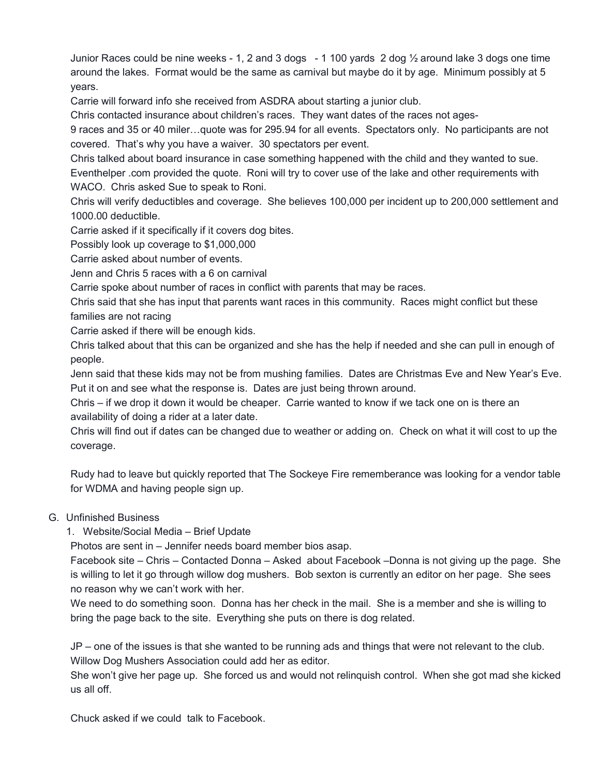Junior Races could be nine weeks - 1, 2 and 3 dogs - 1 100 yards 2 dog ½ around lake 3 dogs one time around the lakes. Format would be the same as carnival but maybe do it by age. Minimum possibly at 5 years.

Carrie will forward info she received from ASDRA about starting a junior club.

Chris contacted insurance about children's races. They want dates of the races not ages-

9 races and 35 or 40 miler…quote was for 295.94 for all events. Spectators only. No participants are not covered. That's why you have a waiver. 30 spectators per event.

Chris talked about board insurance in case something happened with the child and they wanted to sue. Eventhelper .com provided the quote. Roni will try to cover use of the lake and other requirements with WACO. Chris asked Sue to speak to Roni.

Chris will verify deductibles and coverage. She believes 100,000 per incident up to 200,000 settlement and 1000.00 deductible.

Carrie asked if it specifically if it covers dog bites.

Possibly look up coverage to \$1,000,000

Carrie asked about number of events.

Jenn and Chris 5 races with a 6 on carnival

Carrie spoke about number of races in conflict with parents that may be races.

Chris said that she has input that parents want races in this community. Races might conflict but these families are not racing

Carrie asked if there will be enough kids.

Chris talked about that this can be organized and she has the help if needed and she can pull in enough of people.

Jenn said that these kids may not be from mushing families. Dates are Christmas Eve and New Year's Eve. Put it on and see what the response is. Dates are just being thrown around.

Chris – if we drop it down it would be cheaper. Carrie wanted to know if we tack one on is there an availability of doing a rider at a later date.

Chris will find out if dates can be changed due to weather or adding on. Check on what it will cost to up the coverage.

Rudy had to leave but quickly reported that The Sockeye Fire rememberance was looking for a vendor table for WDMA and having people sign up.

## G. Unfinished Business

1. Website/Social Media – Brief Update

Photos are sent in – Jennifer needs board member bios asap.

Facebook site – Chris – Contacted Donna – Asked about Facebook –Donna is not giving up the page. She is willing to let it go through willow dog mushers. Bob sexton is currently an editor on her page. She sees no reason why we can't work with her.

We need to do something soon. Donna has her check in the mail. She is a member and she is willing to bring the page back to the site. Everything she puts on there is dog related.

JP – one of the issues is that she wanted to be running ads and things that were not relevant to the club. Willow Dog Mushers Association could add her as editor.

She won't give her page up. She forced us and would not relinquish control. When she got mad she kicked us all off.

Chuck asked if we could talk to Facebook.